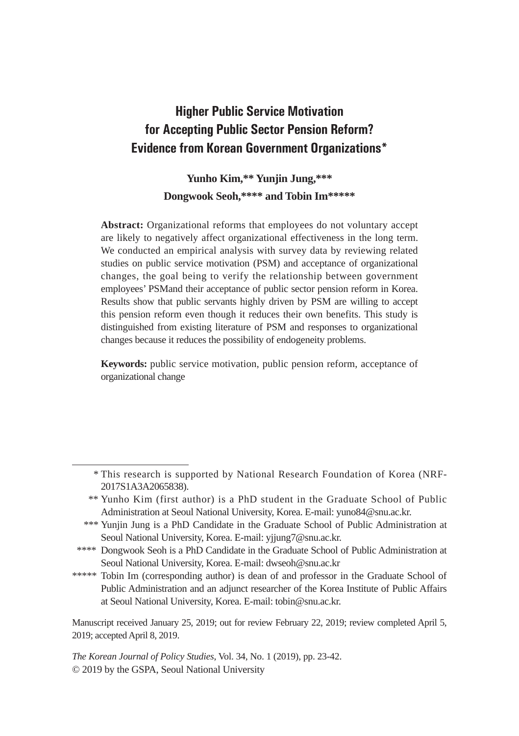# **Higher Public Service Motivation for Accepting Public Sector Pension Reform? Evidence from Korean Government Organizations\***

## **Yunho Kim,\*\* Yunjin Jung,\*\*\* Dongwook Seoh,\*\*\*\* and Tobin Im\*\*\*\*\***

**Abstract:** Organizational reforms that employees do not voluntary accept are likely to negatively affect organizational effectiveness in the long term. We conducted an empirical analysis with survey data by reviewing related studies on public service motivation (PSM) and acceptance of organizational changes, the goal being to verify the relationship between government employees' PSMand their acceptance of public sector pension reform in Korea. Results show that public servants highly driven by PSM are willing to accept this pension reform even though it reduces their own benefits. This study is distinguished from existing literature of PSM and responses to organizational changes because it reduces the possibility of endogeneity problems.

**Keywords:** public service motivation, public pension reform, acceptance of organizational change

Manuscript received January 25, 2019; out for review February 22, 2019; review completed April 5, 2019; accepted April 8, 2019.

*The Korean Journal of Policy Studies*, Vol. 34, No. 1 (2019), pp. 23-42. © 2019 by the GSPA, Seoul National University

 <sup>\*</sup> This research is supported by National Research Foundation of Korea (NRF-2017S1A3A2065838).

 <sup>\*\*</sup> Yunho Kim (first author) is a PhD student in the Graduate School of Public Administration at Seoul National University, Korea. E-mail: yuno84@snu.ac.kr.

 <sup>\*\*\*</sup> Yunjin Jung is a PhD Candidate in the Graduate School of Public Administration at Seoul National University, Korea. E-mail: yjjung7@snu.ac.kr.

<sup>\*\*\*\*</sup> Dongwook Seoh is a PhD Candidate in the Graduate School of Public Administration at Seoul National University, Korea. E-mail: dwseoh@snu.ac.kr

<sup>\*\*\*\*\*</sup> Tobin Im (corresponding author) is dean of and professor in the Graduate School of Public Administration and an adjunct researcher of the Korea Institute of Public Affairs at Seoul National University, Korea. E-mail: tobin@snu.ac.kr.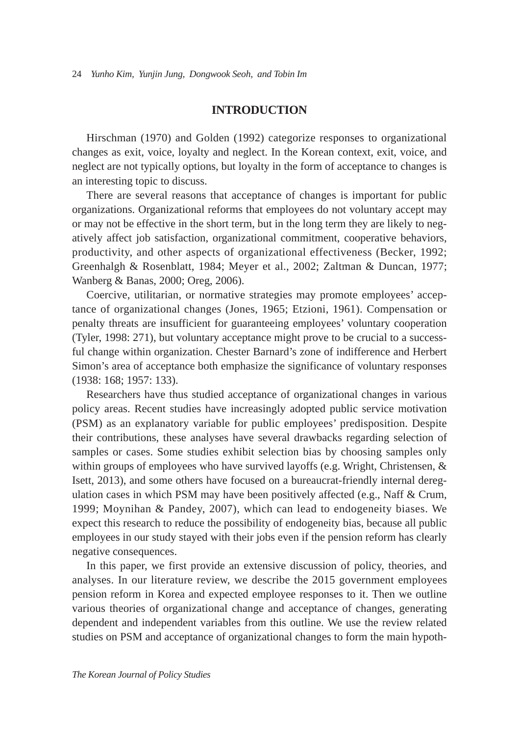## **INTRODUCTION**

Hirschman (1970) and Golden (1992) categorize responses to organizational changes as exit, voice, loyalty and neglect. In the Korean context, exit, voice, and neglect are not typically options, but loyalty in the form of acceptance to changes is an interesting topic to discuss.

There are several reasons that acceptance of changes is important for public organizations. Organizational reforms that employees do not voluntary accept may or may not be effective in the short term, but in the long term they are likely to negatively affect job satisfaction, organizational commitment, cooperative behaviors, productivity, and other aspects of organizational effectiveness (Becker, 1992; Greenhalgh & Rosenblatt, 1984; Meyer et al., 2002; Zaltman & Duncan, 1977; Wanberg & Banas, 2000; Oreg, 2006).

Coercive, utilitarian, or normative strategies may promote employees' acceptance of organizational changes (Jones, 1965; Etzioni, 1961). Compensation or penalty threats are insufficient for guaranteeing employees' voluntary cooperation (Tyler, 1998: 271), but voluntary acceptance might prove to be crucial to a successful change within organization. Chester Barnard's zone of indifference and Herbert Simon's area of acceptance both emphasize the significance of voluntary responses (1938: 168; 1957: 133).

Researchers have thus studied acceptance of organizational changes in various policy areas. Recent studies have increasingly adopted public service motivation (PSM) as an explanatory variable for public employees' predisposition. Despite their contributions, these analyses have several drawbacks regarding selection of samples or cases. Some studies exhibit selection bias by choosing samples only within groups of employees who have survived layoffs (e.g. Wright, Christensen, & Isett, 2013), and some others have focused on a bureaucrat-friendly internal deregulation cases in which PSM may have been positively affected (e.g., Naff & Crum, 1999; Moynihan & Pandey, 2007), which can lead to endogeneity biases. We expect this research to reduce the possibility of endogeneity bias, because all public employees in our study stayed with their jobs even if the pension reform has clearly negative consequences.

In this paper, we first provide an extensive discussion of policy, theories, and analyses. In our literature review, we describe the 2015 government employees pension reform in Korea and expected employee responses to it. Then we outline various theories of organizational change and acceptance of changes, generating dependent and independent variables from this outline. We use the review related studies on PSM and acceptance of organizational changes to form the main hypoth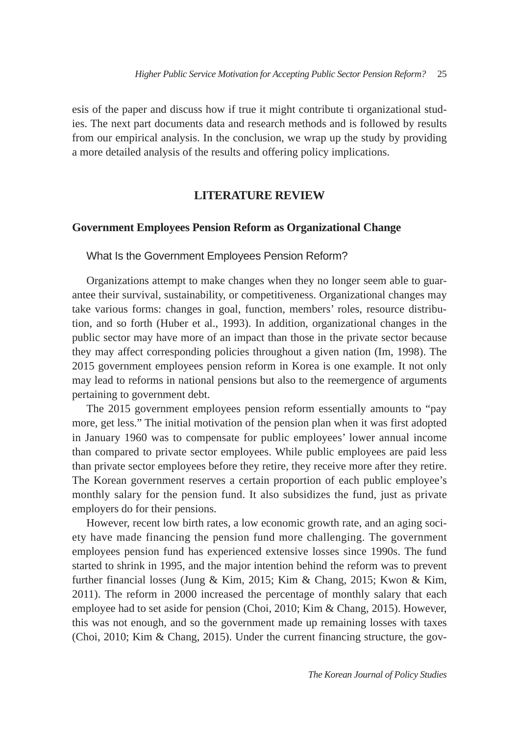esis of the paper and discuss how if true it might contribute ti organizational studies. The next part documents data and research methods and is followed by results from our empirical analysis. In the conclusion, we wrap up the study by providing a more detailed analysis of the results and offering policy implications.

## **LITERATURE REVIEW**

#### **Government Employees Pension Reform as Organizational Change**

What Is the Government Employees Pension Reform?

Organizations attempt to make changes when they no longer seem able to guarantee their survival, sustainability, or competitiveness. Organizational changes may take various forms: changes in goal, function, members' roles, resource distribution, and so forth (Huber et al., 1993). In addition, organizational changes in the public sector may have more of an impact than those in the private sector because they may affect corresponding policies throughout a given nation (Im, 1998). The 2015 government employees pension reform in Korea is one example. It not only may lead to reforms in national pensions but also to the reemergence of arguments pertaining to government debt.

The 2015 government employees pension reform essentially amounts to "pay more, get less." The initial motivation of the pension plan when it was first adopted in January 1960 was to compensate for public employees' lower annual income than compared to private sector employees. While public employees are paid less than private sector employees before they retire, they receive more after they retire. The Korean government reserves a certain proportion of each public employee's monthly salary for the pension fund. It also subsidizes the fund, just as private employers do for their pensions.

However, recent low birth rates, a low economic growth rate, and an aging society have made financing the pension fund more challenging. The government employees pension fund has experienced extensive losses since 1990s. The fund started to shrink in 1995, and the major intention behind the reform was to prevent further financial losses (Jung & Kim, 2015; Kim & Chang, 2015; Kwon & Kim, 2011). The reform in 2000 increased the percentage of monthly salary that each employee had to set aside for pension (Choi, 2010; Kim & Chang, 2015). However, this was not enough, and so the government made up remaining losses with taxes (Choi, 2010; Kim & Chang, 2015). Under the current financing structure, the gov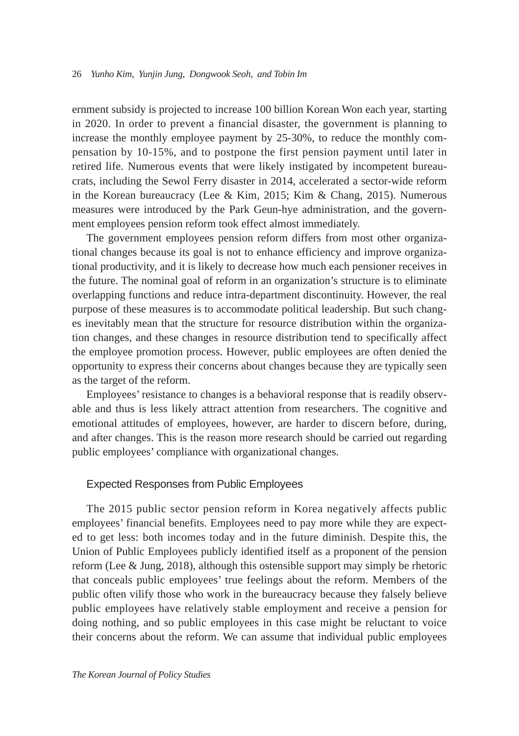ernment subsidy is projected to increase 100 billion Korean Won each year, starting in 2020. In order to prevent a financial disaster, the government is planning to increase the monthly employee payment by 25-30%, to reduce the monthly compensation by 10-15%, and to postpone the first pension payment until later in retired life. Numerous events that were likely instigated by incompetent bureaucrats, including the Sewol Ferry disaster in 2014, accelerated a sector-wide reform in the Korean bureaucracy (Lee & Kim, 2015; Kim & Chang, 2015). Numerous measures were introduced by the Park Geun-hye administration, and the government employees pension reform took effect almost immediately.

The government employees pension reform differs from most other organizational changes because its goal is not to enhance efficiency and improve organizational productivity, and it is likely to decrease how much each pensioner receives in the future. The nominal goal of reform in an organization's structure is to eliminate overlapping functions and reduce intra-department discontinuity. However, the real purpose of these measures is to accommodate political leadership. But such changes inevitably mean that the structure for resource distribution within the organization changes, and these changes in resource distribution tend to specifically affect the employee promotion process. However, public employees are often denied the opportunity to express their concerns about changes because they are typically seen as the target of the reform.

Employees' resistance to changes is a behavioral response that is readily observable and thus is less likely attract attention from researchers. The cognitive and emotional attitudes of employees, however, are harder to discern before, during, and after changes. This is the reason more research should be carried out regarding public employees' compliance with organizational changes.

#### Expected Responses from Public Employees

The 2015 public sector pension reform in Korea negatively affects public employees' financial benefits. Employees need to pay more while they are expected to get less: both incomes today and in the future diminish. Despite this, the Union of Public Employees publicly identified itself as a proponent of the pension reform (Lee & Jung, 2018), although this ostensible support may simply be rhetoric that conceals public employees' true feelings about the reform. Members of the public often vilify those who work in the bureaucracy because they falsely believe public employees have relatively stable employment and receive a pension for doing nothing, and so public employees in this case might be reluctant to voice their concerns about the reform. We can assume that individual public employees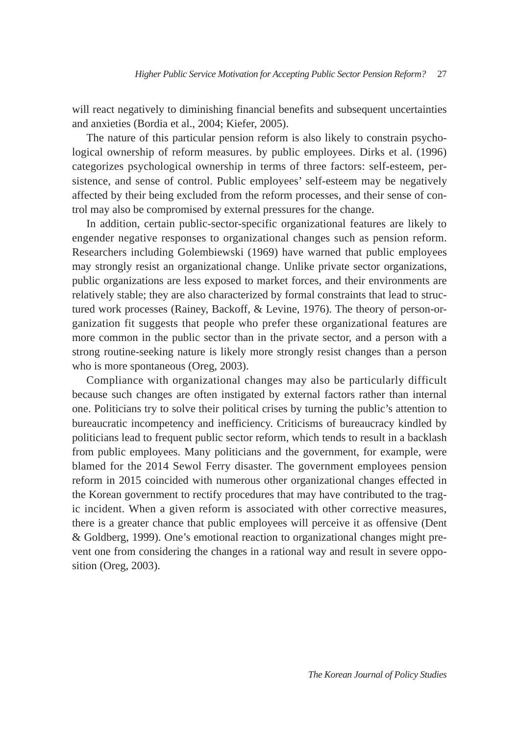will react negatively to diminishing financial benefits and subsequent uncertainties and anxieties (Bordia et al., 2004; Kiefer, 2005).

The nature of this particular pension reform is also likely to constrain psychological ownership of reform measures. by public employees. Dirks et al. (1996) categorizes psychological ownership in terms of three factors: self-esteem, persistence, and sense of control. Public employees' self-esteem may be negatively affected by their being excluded from the reform processes, and their sense of control may also be compromised by external pressures for the change.

In addition, certain public-sector-specific organizational features are likely to engender negative responses to organizational changes such as pension reform. Researchers including Golembiewski (1969) have warned that public employees may strongly resist an organizational change. Unlike private sector organizations, public organizations are less exposed to market forces, and their environments are relatively stable; they are also characterized by formal constraints that lead to structured work processes (Rainey, Backoff, & Levine, 1976). The theory of person-organization fit suggests that people who prefer these organizational features are more common in the public sector than in the private sector, and a person with a strong routine-seeking nature is likely more strongly resist changes than a person who is more spontaneous (Oreg, 2003).

Compliance with organizational changes may also be particularly difficult because such changes are often instigated by external factors rather than internal one. Politicians try to solve their political crises by turning the public's attention to bureaucratic incompetency and inefficiency. Criticisms of bureaucracy kindled by politicians lead to frequent public sector reform, which tends to result in a backlash from public employees. Many politicians and the government, for example, were blamed for the 2014 Sewol Ferry disaster. The government employees pension reform in 2015 coincided with numerous other organizational changes effected in the Korean government to rectify procedures that may have contributed to the tragic incident. When a given reform is associated with other corrective measures, there is a greater chance that public employees will perceive it as offensive (Dent & Goldberg, 1999). One's emotional reaction to organizational changes might prevent one from considering the changes in a rational way and result in severe opposition (Oreg, 2003).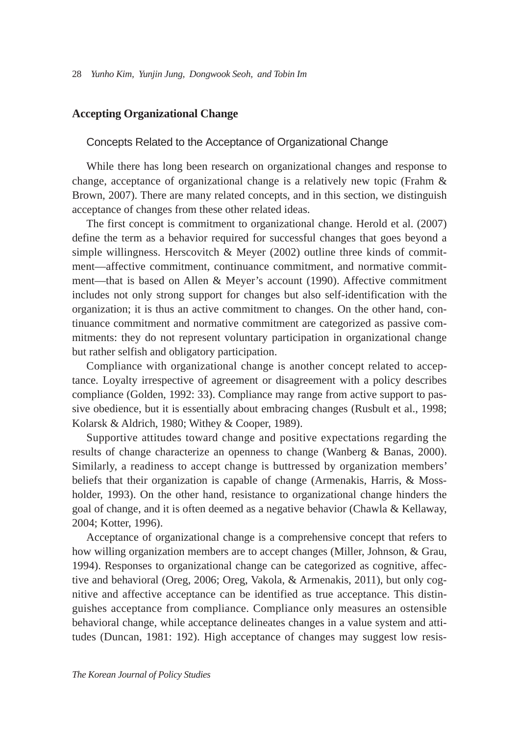## **Accepting Organizational Change**

#### Concepts Related to the Acceptance of Organizational Change

While there has long been research on organizational changes and response to change, acceptance of organizational change is a relatively new topic (Frahm & Brown, 2007). There are many related concepts, and in this section, we distinguish acceptance of changes from these other related ideas.

The first concept is commitment to organizational change. Herold et al. (2007) define the term as a behavior required for successful changes that goes beyond a simple willingness. Herscovitch  $\&$  Meyer (2002) outline three kinds of commitment—affective commitment, continuance commitment, and normative commitment—that is based on Allen & Meyer's account (1990). Affective commitment includes not only strong support for changes but also self-identification with the organization; it is thus an active commitment to changes. On the other hand, continuance commitment and normative commitment are categorized as passive commitments: they do not represent voluntary participation in organizational change but rather selfish and obligatory participation.

Compliance with organizational change is another concept related to acceptance. Loyalty irrespective of agreement or disagreement with a policy describes compliance (Golden, 1992: 33). Compliance may range from active support to passive obedience, but it is essentially about embracing changes (Rusbult et al., 1998; Kolarsk & Aldrich, 1980; Withey & Cooper, 1989).

Supportive attitudes toward change and positive expectations regarding the results of change characterize an openness to change (Wanberg & Banas, 2000). Similarly, a readiness to accept change is buttressed by organization members' beliefs that their organization is capable of change (Armenakis, Harris, & Mossholder, 1993). On the other hand, resistance to organizational change hinders the goal of change, and it is often deemed as a negative behavior (Chawla & Kellaway, 2004; Kotter, 1996).

Acceptance of organizational change is a comprehensive concept that refers to how willing organization members are to accept changes (Miller, Johnson, & Grau, 1994). Responses to organizational change can be categorized as cognitive, affective and behavioral (Oreg, 2006; Oreg, Vakola, & Armenakis, 2011), but only cognitive and affective acceptance can be identified as true acceptance. This distinguishes acceptance from compliance. Compliance only measures an ostensible behavioral change, while acceptance delineates changes in a value system and attitudes (Duncan, 1981: 192). High acceptance of changes may suggest low resis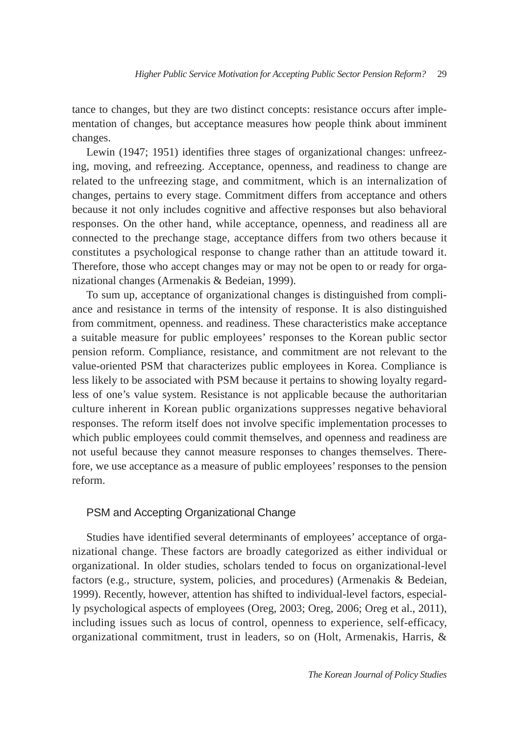tance to changes, but they are two distinct concepts: resistance occurs after implementation of changes, but acceptance measures how people think about imminent changes.

Lewin (1947; 1951) identifies three stages of organizational changes: unfreezing, moving, and refreezing. Acceptance, openness, and readiness to change are related to the unfreezing stage, and commitment, which is an internalization of changes, pertains to every stage. Commitment differs from acceptance and others because it not only includes cognitive and affective responses but also behavioral responses. On the other hand, while acceptance, openness, and readiness all are connected to the prechange stage, acceptance differs from two others because it constitutes a psychological response to change rather than an attitude toward it. Therefore, those who accept changes may or may not be open to or ready for organizational changes (Armenakis & Bedeian, 1999).

To sum up, acceptance of organizational changes is distinguished from compliance and resistance in terms of the intensity of response. It is also distinguished from commitment, openness. and readiness. These characteristics make acceptance a suitable measure for public employees' responses to the Korean public sector pension reform. Compliance, resistance, and commitment are not relevant to the value-oriented PSM that characterizes public employees in Korea. Compliance is less likely to be associated with PSM because it pertains to showing loyalty regardless of one's value system. Resistance is not applicable because the authoritarian culture inherent in Korean public organizations suppresses negative behavioral responses. The reform itself does not involve specific implementation processes to which public employees could commit themselves, and openness and readiness are not useful because they cannot measure responses to changes themselves. Therefore, we use acceptance as a measure of public employees' responses to the pension reform.

#### PSM and Accepting Organizational Change

Studies have identified several determinants of employees' acceptance of organizational change. These factors are broadly categorized as either individual or organizational. In older studies, scholars tended to focus on organizational-level factors (e.g., structure, system, policies, and procedures) (Armenakis & Bedeian, 1999). Recently, however, attention has shifted to individual-level factors, especially psychological aspects of employees (Oreg, 2003; Oreg, 2006; Oreg et al., 2011), including issues such as locus of control, openness to experience, self-efficacy, organizational commitment, trust in leaders, so on (Holt, Armenakis, Harris, &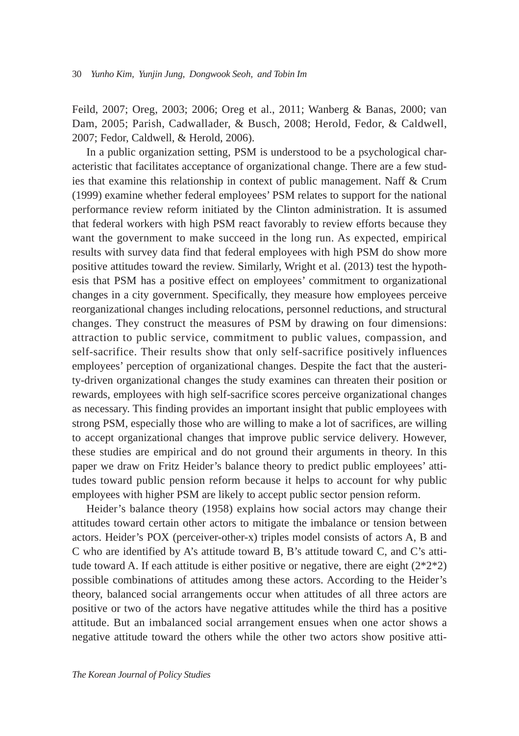Feild, 2007; Oreg, 2003; 2006; Oreg et al., 2011; Wanberg & Banas, 2000; van Dam, 2005; Parish, Cadwallader, & Busch, 2008; Herold, Fedor, & Caldwell, 2007; Fedor, Caldwell, & Herold, 2006).

In a public organization setting, PSM is understood to be a psychological characteristic that facilitates acceptance of organizational change. There are a few studies that examine this relationship in context of public management. Naff & Crum (1999) examine whether federal employees' PSM relates to support for the national performance review reform initiated by the Clinton administration. It is assumed that federal workers with high PSM react favorably to review efforts because they want the government to make succeed in the long run. As expected, empirical results with survey data find that federal employees with high PSM do show more positive attitudes toward the review. Similarly, Wright et al. (2013) test the hypothesis that PSM has a positive effect on employees' commitment to organizational changes in a city government. Specifically, they measure how employees perceive reorganizational changes including relocations, personnel reductions, and structural changes. They construct the measures of PSM by drawing on four dimensions: attraction to public service, commitment to public values, compassion, and self-sacrifice. Their results show that only self-sacrifice positively influences employees' perception of organizational changes. Despite the fact that the austerity-driven organizational changes the study examines can threaten their position or rewards, employees with high self-sacrifice scores perceive organizational changes as necessary. This finding provides an important insight that public employees with strong PSM, especially those who are willing to make a lot of sacrifices, are willing to accept organizational changes that improve public service delivery. However, these studies are empirical and do not ground their arguments in theory. In this paper we draw on Fritz Heider's balance theory to predict public employees' attitudes toward public pension reform because it helps to account for why public employees with higher PSM are likely to accept public sector pension reform.

Heider's balance theory (1958) explains how social actors may change their attitudes toward certain other actors to mitigate the imbalance or tension between actors. Heider's POX (perceiver-other-x) triples model consists of actors A, B and C who are identified by A's attitude toward B, B's attitude toward C, and C's attitude toward A. If each attitude is either positive or negative, there are eight  $(2^*2^*2)$ possible combinations of attitudes among these actors. According to the Heider's theory, balanced social arrangements occur when attitudes of all three actors are positive or two of the actors have negative attitudes while the third has a positive attitude. But an imbalanced social arrangement ensues when one actor shows a negative attitude toward the others while the other two actors show positive atti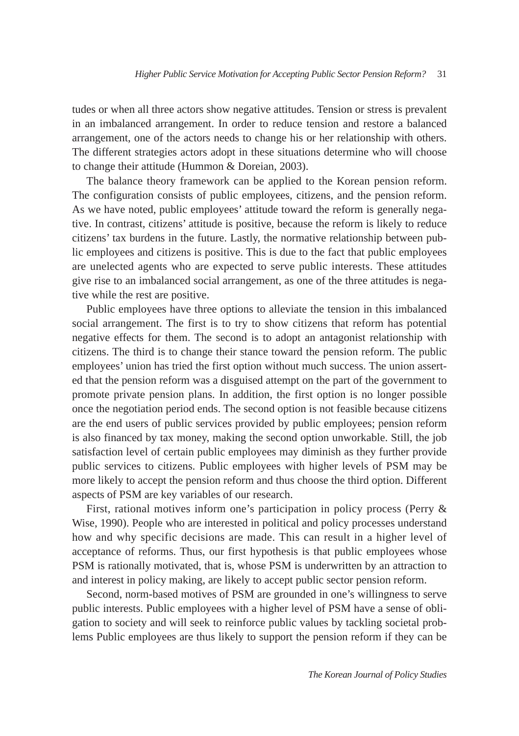tudes or when all three actors show negative attitudes. Tension or stress is prevalent in an imbalanced arrangement. In order to reduce tension and restore a balanced arrangement, one of the actors needs to change his or her relationship with others. The different strategies actors adopt in these situations determine who will choose to change their attitude (Hummon & Doreian, 2003).

The balance theory framework can be applied to the Korean pension reform. The configuration consists of public employees, citizens, and the pension reform. As we have noted, public employees' attitude toward the reform is generally negative. In contrast, citizens' attitude is positive, because the reform is likely to reduce citizens' tax burdens in the future. Lastly, the normative relationship between public employees and citizens is positive. This is due to the fact that public employees are unelected agents who are expected to serve public interests. These attitudes give rise to an imbalanced social arrangement, as one of the three attitudes is negative while the rest are positive.

Public employees have three options to alleviate the tension in this imbalanced social arrangement. The first is to try to show citizens that reform has potential negative effects for them. The second is to adopt an antagonist relationship with citizens. The third is to change their stance toward the pension reform. The public employees' union has tried the first option without much success. The union asserted that the pension reform was a disguised attempt on the part of the government to promote private pension plans. In addition, the first option is no longer possible once the negotiation period ends. The second option is not feasible because citizens are the end users of public services provided by public employees; pension reform is also financed by tax money, making the second option unworkable. Still, the job satisfaction level of certain public employees may diminish as they further provide public services to citizens. Public employees with higher levels of PSM may be more likely to accept the pension reform and thus choose the third option. Different aspects of PSM are key variables of our research.

First, rational motives inform one's participation in policy process (Perry & Wise, 1990). People who are interested in political and policy processes understand how and why specific decisions are made. This can result in a higher level of acceptance of reforms. Thus, our first hypothesis is that public employees whose PSM is rationally motivated, that is, whose PSM is underwritten by an attraction to and interest in policy making, are likely to accept public sector pension reform.

Second, norm-based motives of PSM are grounded in one's willingness to serve public interests. Public employees with a higher level of PSM have a sense of obligation to society and will seek to reinforce public values by tackling societal problems Public employees are thus likely to support the pension reform if they can be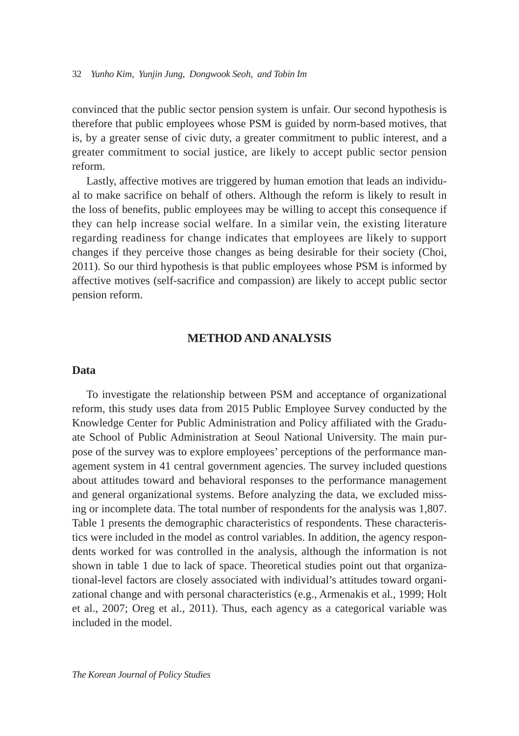convinced that the public sector pension system is unfair. Our second hypothesis is therefore that public employees whose PSM is guided by norm-based motives, that is, by a greater sense of civic duty, a greater commitment to public interest, and a greater commitment to social justice, are likely to accept public sector pension reform.

Lastly, affective motives are triggered by human emotion that leads an individual to make sacrifice on behalf of others. Although the reform is likely to result in the loss of benefits, public employees may be willing to accept this consequence if they can help increase social welfare. In a similar vein, the existing literature regarding readiness for change indicates that employees are likely to support changes if they perceive those changes as being desirable for their society (Choi, 2011). So our third hypothesis is that public employees whose PSM is informed by affective motives (self-sacrifice and compassion) are likely to accept public sector pension reform.

## **METHOD AND ANALYSIS**

#### **Data**

To investigate the relationship between PSM and acceptance of organizational reform, this study uses data from 2015 Public Employee Survey conducted by the Knowledge Center for Public Administration and Policy affiliated with the Graduate School of Public Administration at Seoul National University. The main purpose of the survey was to explore employees' perceptions of the performance management system in 41 central government agencies. The survey included questions about attitudes toward and behavioral responses to the performance management and general organizational systems. Before analyzing the data, we excluded missing or incomplete data. The total number of respondents for the analysis was 1,807. Table 1 presents the demographic characteristics of respondents. These characteristics were included in the model as control variables. In addition, the agency respondents worked for was controlled in the analysis, although the information is not shown in table 1 due to lack of space. Theoretical studies point out that organizational-level factors are closely associated with individual's attitudes toward organizational change and with personal characteristics (e.g., Armenakis et al., 1999; Holt et al., 2007; Oreg et al., 2011). Thus, each agency as a categorical variable was included in the model.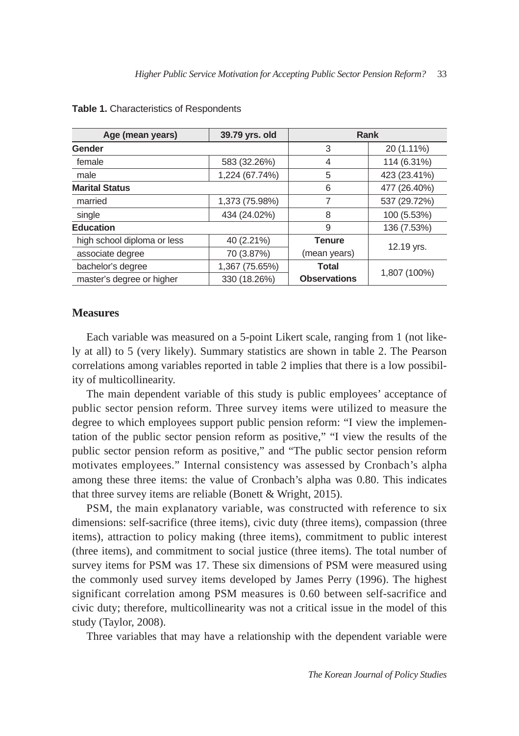| Age (mean years)            | 39.79 yrs. old | Rank                |              |  |  |
|-----------------------------|----------------|---------------------|--------------|--|--|
| Gender                      |                | 3                   | 20 (1.11%)   |  |  |
| female                      | 583 (32.26%)   | 4                   | 114 (6.31%)  |  |  |
| male                        | 1,224 (67.74%) | 5                   | 423 (23.41%) |  |  |
| <b>Marital Status</b>       | 6              | 477 (26.40%)        |              |  |  |
| married                     | 1,373 (75.98%) | 7                   | 537 (29.72%) |  |  |
| single                      | 434 (24.02%)   | 8                   | 100 (5.53%)  |  |  |
| <b>Education</b>            | 9              | 136 (7.53%)         |              |  |  |
| high school diploma or less | 40 (2.21%)     | <b>Tenure</b>       | 12.19 yrs.   |  |  |
| associate degree            | 70 (3.87%)     | (mean years)        |              |  |  |
| bachelor's degree           | 1,367 (75.65%) | Total               |              |  |  |
| master's degree or higher   | 330 (18.26%)   | <b>Observations</b> | 1,807 (100%) |  |  |

#### **Table 1.** Characteristics of Respondents

## **Measures**

Each variable was measured on a 5-point Likert scale, ranging from 1 (not likely at all) to 5 (very likely). Summary statistics are shown in table 2. The Pearson correlations among variables reported in table 2 implies that there is a low possibility of multicollinearity.

The main dependent variable of this study is public employees' acceptance of public sector pension reform. Three survey items were utilized to measure the degree to which employees support public pension reform: "I view the implementation of the public sector pension reform as positive," "I view the results of the public sector pension reform as positive," and "The public sector pension reform motivates employees." Internal consistency was assessed by Cronbach's alpha among these three items: the value of Cronbach's alpha was 0.80. This indicates that three survey items are reliable (Bonett & Wright, 2015).

PSM, the main explanatory variable, was constructed with reference to six dimensions: self-sacrifice (three items), civic duty (three items), compassion (three items), attraction to policy making (three items), commitment to public interest (three items), and commitment to social justice (three items). The total number of survey items for PSM was 17. These six dimensions of PSM were measured using the commonly used survey items developed by James Perry (1996). The highest significant correlation among PSM measures is 0.60 between self-sacrifice and civic duty; therefore, multicollinearity was not a critical issue in the model of this study (Taylor, 2008).

Three variables that may have a relationship with the dependent variable were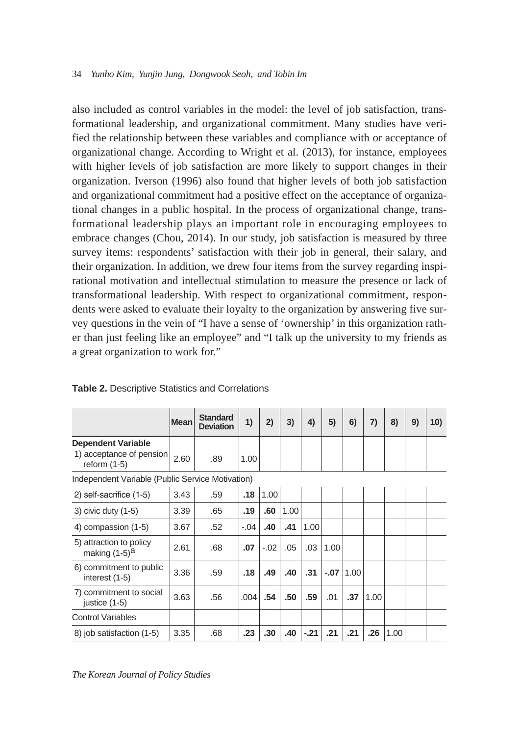also included as control variables in the model: the level of job satisfaction, transformational leadership, and organizational commitment. Many studies have verified the relationship between these variables and compliance with or acceptance of organizational change. According to Wright et al. (2013), for instance, employees with higher levels of job satisfaction are more likely to support changes in their organization. Iverson (1996) also found that higher levels of both job satisfaction and organizational commitment had a positive effect on the acceptance of organizational changes in a public hospital. In the process of organizational change, transformational leadership plays an important role in encouraging employees to embrace changes (Chou, 2014). In our study, job satisfaction is measured by three survey items: respondents' satisfaction with their job in general, their salary, and their organization. In addition, we drew four items from the survey regarding inspirational motivation and intellectual stimulation to measure the presence or lack of transformational leadership. With respect to organizational commitment, respondents were asked to evaluate their loyalty to the organization by answering five survey questions in the vein of "I have a sense of 'ownership' in this organization rather than just feeling like an employee" and "I talk up the university to my friends as a great organization to work for."

|                                                  | <b>Mean</b> | <b>Standard</b><br><b>Deviation</b> | 1)     | 2)     | 3)   | 4)     | 5)     | 6)   | 7)   | 8)   | 9) | 10) |
|--------------------------------------------------|-------------|-------------------------------------|--------|--------|------|--------|--------|------|------|------|----|-----|
| <b>Dependent Variable</b>                        |             |                                     |        |        |      |        |        |      |      |      |    |     |
| 1) acceptance of pension<br>reform $(1-5)$       | 2.60        | .89                                 | 1.00   |        |      |        |        |      |      |      |    |     |
| Independent Variable (Public Service Motivation) |             |                                     |        |        |      |        |        |      |      |      |    |     |
| 2) self-sacrifice (1-5)                          | 3.43        | .59                                 | .18    | 1.00   |      |        |        |      |      |      |    |     |
| 3) civic duty $(1-5)$                            | 3.39        | .65                                 | .19    | .60    | 1.00 |        |        |      |      |      |    |     |
| 4) compassion (1-5)                              | 3.67        | .52                                 | $-.04$ | .40    | .41  | 1.00   |        |      |      |      |    |     |
| 5) attraction to policy<br>making $(1-5)^{a}$    | 2.61        | .68                                 | .07    | $-.02$ | .05  | .03    | 1.00   |      |      |      |    |     |
| 6) commitment to public<br>interest (1-5)        | 3.36        | .59                                 | .18    | .49    | .40  | .31    | $-.07$ | 1.00 |      |      |    |     |
| 7) commitment to social<br>justice $(1-5)$       | 3.63        | .56                                 | .004   | .54    | .50  | .59    | .01    | .37  | 1.00 |      |    |     |
| <b>Control Variables</b>                         |             |                                     |        |        |      |        |        |      |      |      |    |     |
| 8) job satisfaction (1-5)                        | 3.35        | .68                                 | .23    | .30    | .40  | $-.21$ | .21    | .21  | .26  | 1.00 |    |     |

## **Table 2.** Descriptive Statistics and Correlations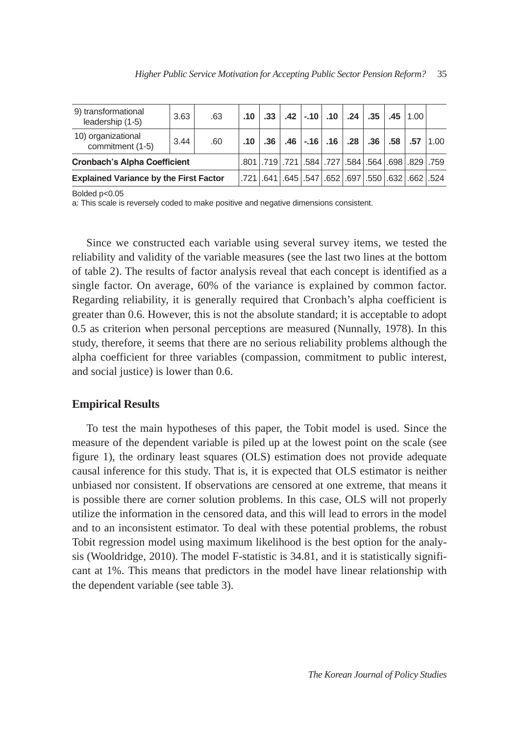| 9) transformational<br>leadership (1-5)       | 3.63 | .63 |                  |                                                      | $.10$   $.33$   $.42$   $-.10$   $.10$   $.24$   $.35$   $.45$   $1.00$ |  |     |                    |  |
|-----------------------------------------------|------|-----|------------------|------------------------------------------------------|-------------------------------------------------------------------------|--|-----|--------------------|--|
| 10) organizational<br>commitment (1-5)        | 3.44 | .60 | .10 <sub>1</sub> | .36                                                  | .46 .16 .16 .28 .                                                       |  | .36 | $.58$ $.57$ $1.00$ |  |
| <b>Cronbach's Alpha Coefficient</b>           |      |     |                  | .801 .719 .721 .584 .584 .584 .564 .698 .829 .759    |                                                                         |  |     |                    |  |
| <b>Explained Variance by the First Factor</b> |      |     |                  | .721 662 632 697 .550 697 .550 697 .550 697 .641 641 |                                                                         |  |     |                    |  |

Bolded p<0.05

a: This scale is reversely coded to make positive and negative dimensions consistent.

Since we constructed each variable using several survey items, we tested the reliability and validity of the variable measures (see the last two lines at the bottom of table 2). The results of factor analysis reveal that each concept is identified as a single factor. On average, 60% of the variance is explained by common factor. Regarding reliability, it is generally required that Cronbach's alpha coefficient is greater than 0.6. However, this is not the absolute standard; it is acceptable to adopt 0.5 as criterion when personal perceptions are measured (Nunnally, 1978). In this study, therefore, it seems that there are no serious reliability problems although the alpha coefficient for three variables (compassion, commitment to public interest, and social justice) is lower than 0.6.

#### **Empirical Results**

To test the main hypotheses of this paper, the Tobit model is used. Since the measure of the dependent variable is piled up at the lowest point on the scale (see figure 1), the ordinary least squares (OLS) estimation does not provide adequate causal inference for this study. That is, it is expected that OLS estimator is neither unbiased nor consistent. If observations are censored at one extreme, that means it is possible there are corner solution problems. In this case, OLS will not properly utilize the information in the censored data, and this will lead to errors in the model and to an inconsistent estimator. To deal with these potential problems, the robust Tobit regression model using maximum likelihood is the best option for the analysis (Wooldridge, 2010). The model F-statistic is 34.81, and it is statistically significant at 1%. This means that predictors in the model have linear relationship with the dependent variable (see table 3).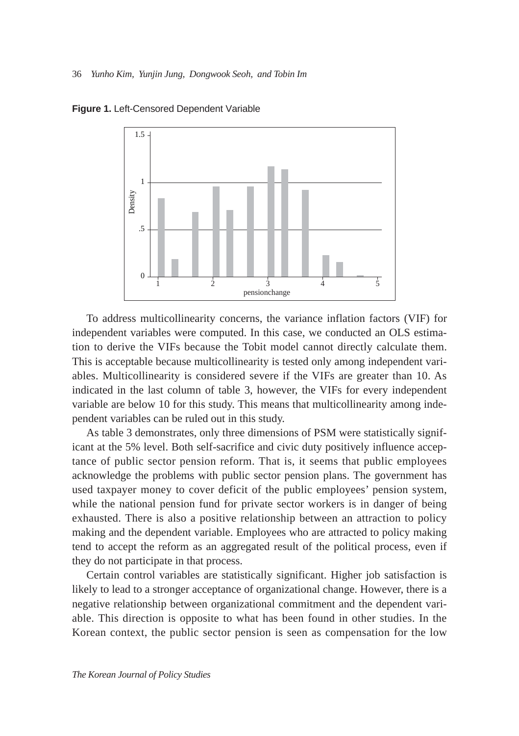

**Figure 1.** Left-Censored Dependent Variable

To address multicollinearity concerns, the variance inflation factors (VIF) for independent variables were computed. In this case, we conducted an OLS estimation to derive the VIFs because the Tobit model cannot directly calculate them. This is acceptable because multicollinearity is tested only among independent variables. Multicollinearity is considered severe if the VIFs are greater than 10. As indicated in the last column of table 3, however, the VIFs for every independent variable are below 10 for this study. This means that multicollinearity among independent variables can be ruled out in this study.

As table 3 demonstrates, only three dimensions of PSM were statistically significant at the 5% level. Both self-sacrifice and civic duty positively influence acceptance of public sector pension reform. That is, it seems that public employees acknowledge the problems with public sector pension plans. The government has used taxpayer money to cover deficit of the public employees' pension system, while the national pension fund for private sector workers is in danger of being exhausted. There is also a positive relationship between an attraction to policy making and the dependent variable. Employees who are attracted to policy making tend to accept the reform as an aggregated result of the political process, even if they do not participate in that process.

Certain control variables are statistically significant. Higher job satisfaction is likely to lead to a stronger acceptance of organizational change. However, there is a negative relationship between organizational commitment and the dependent variable. This direction is opposite to what has been found in other studies. In the Korean context, the public sector pension is seen as compensation for the low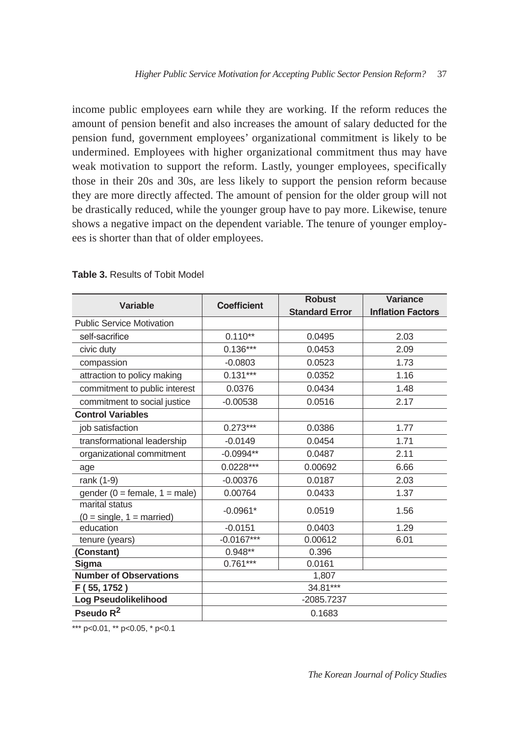income public employees earn while they are working. If the reform reduces the amount of pension benefit and also increases the amount of salary deducted for the pension fund, government employees' organizational commitment is likely to be undermined. Employees with higher organizational commitment thus may have weak motivation to support the reform. Lastly, younger employees, specifically those in their 20s and 30s, are less likely to support the pension reform because they are more directly affected. The amount of pension for the older group will not be drastically reduced, while the younger group have to pay more. Likewise, tenure shows a negative impact on the dependent variable. The tenure of younger employees is shorter than that of older employees.

|                                               |                    | <b>Robust</b>         | Variance                 |  |  |  |  |
|-----------------------------------------------|--------------------|-----------------------|--------------------------|--|--|--|--|
| <b>Variable</b>                               | <b>Coefficient</b> | <b>Standard Error</b> | <b>Inflation Factors</b> |  |  |  |  |
| <b>Public Service Motivation</b>              |                    |                       |                          |  |  |  |  |
| self-sacrifice                                | $0.110**$          | 0.0495                | 2.03                     |  |  |  |  |
| civic duty                                    | $0.136***$         | 0.0453                | 2.09                     |  |  |  |  |
| compassion                                    | $-0.0803$          | 0.0523                | 1.73                     |  |  |  |  |
| attraction to policy making                   | $0.131***$         | 0.0352                | 1.16                     |  |  |  |  |
| commitment to public interest                 | 0.0376             | 0.0434                | 1.48                     |  |  |  |  |
| commitment to social justice                  | $-0.00538$         | 0.0516                | 2.17                     |  |  |  |  |
| <b>Control Variables</b>                      |                    |                       |                          |  |  |  |  |
| job satisfaction                              | $0.273***$         | 0.0386                | 1.77                     |  |  |  |  |
| transformational leadership                   | $-0.0149$          | 0.0454                | 1.71                     |  |  |  |  |
| organizational commitment                     | $-0.0994**$        | 0.0487                | 2.11                     |  |  |  |  |
| age                                           | $0.0228***$        | 0.00692               | 6.66                     |  |  |  |  |
| rank (1-9)                                    | $-0.00376$         | 0.0187                | 2.03                     |  |  |  |  |
| gender ( $0 =$ female, $1 =$ male)            | 0.00764            | 0.0433                | 1.37                     |  |  |  |  |
| marital status<br>$(0 = single, 1 = married)$ | $-0.0961*$         | 0.0519                | 1.56                     |  |  |  |  |
| education                                     | $-0.0151$          | 0.0403                | 1.29                     |  |  |  |  |
| tenure (years)                                | $-0.0167***$       | 0.00612               | 6.01                     |  |  |  |  |
| (Constant)                                    | $0.948**$          | 0.396                 |                          |  |  |  |  |
| Sigma                                         | $0.761***$         | 0.0161                |                          |  |  |  |  |
| <b>Number of Observations</b>                 | 1,807              |                       |                          |  |  |  |  |
| F (55, 1752)                                  | 34.81***           |                       |                          |  |  |  |  |
| Log Pseudolikelihood                          | -2085.7237         |                       |                          |  |  |  |  |
| Pseudo R <sup>2</sup>                         | 0.1683             |                       |                          |  |  |  |  |

#### **Table 3.** Results of Tobit Model

\*\*\* p<0.01, \*\* p<0.05, \* p<0.1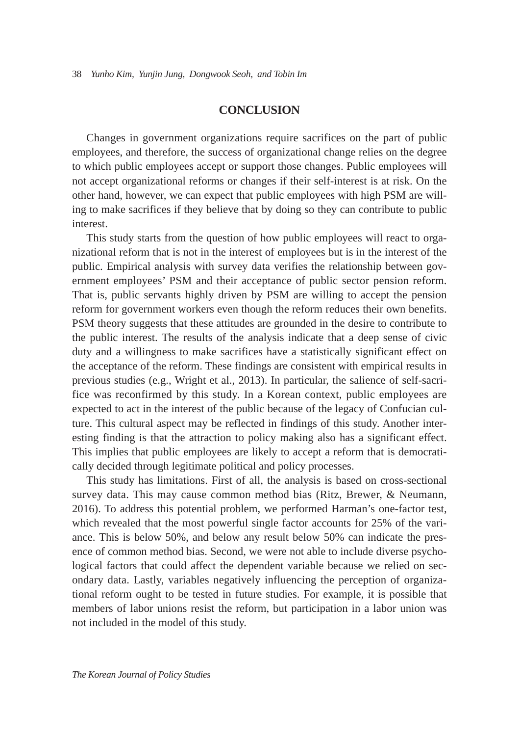## **CONCLUSION**

Changes in government organizations require sacrifices on the part of public employees, and therefore, the success of organizational change relies on the degree to which public employees accept or support those changes. Public employees will not accept organizational reforms or changes if their self-interest is at risk. On the other hand, however, we can expect that public employees with high PSM are willing to make sacrifices if they believe that by doing so they can contribute to public interest.

This study starts from the question of how public employees will react to organizational reform that is not in the interest of employees but is in the interest of the public. Empirical analysis with survey data verifies the relationship between government employees' PSM and their acceptance of public sector pension reform. That is, public servants highly driven by PSM are willing to accept the pension reform for government workers even though the reform reduces their own benefits. PSM theory suggests that these attitudes are grounded in the desire to contribute to the public interest. The results of the analysis indicate that a deep sense of civic duty and a willingness to make sacrifices have a statistically significant effect on the acceptance of the reform. These findings are consistent with empirical results in previous studies (e.g., Wright et al., 2013). In particular, the salience of self-sacrifice was reconfirmed by this study. In a Korean context, public employees are expected to act in the interest of the public because of the legacy of Confucian culture. This cultural aspect may be reflected in findings of this study. Another interesting finding is that the attraction to policy making also has a significant effect. This implies that public employees are likely to accept a reform that is democratically decided through legitimate political and policy processes.

This study has limitations. First of all, the analysis is based on cross-sectional survey data. This may cause common method bias (Ritz, Brewer, & Neumann, 2016). To address this potential problem, we performed Harman's one-factor test, which revealed that the most powerful single factor accounts for 25% of the variance. This is below 50%, and below any result below 50% can indicate the presence of common method bias. Second, we were not able to include diverse psychological factors that could affect the dependent variable because we relied on secondary data. Lastly, variables negatively influencing the perception of organizational reform ought to be tested in future studies. For example, it is possible that members of labor unions resist the reform, but participation in a labor union was not included in the model of this study.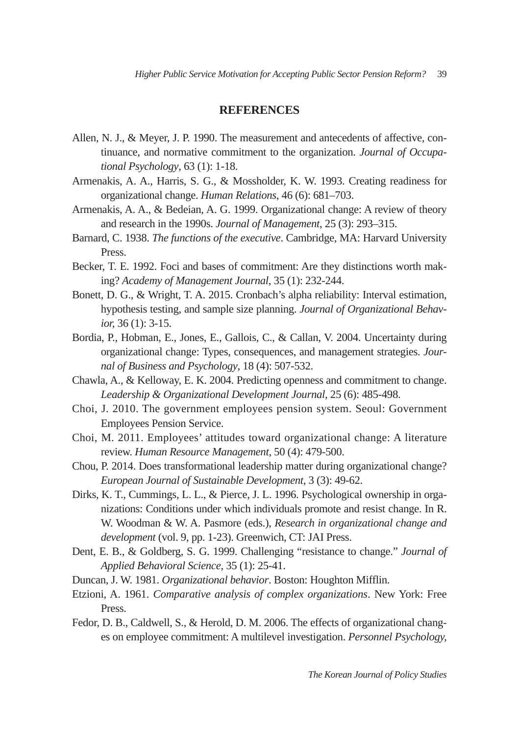## **REFERENCES**

- Allen, N. J., & Meyer, J. P. 1990. The measurement and antecedents of affective, continuance, and normative commitment to the organization. *Journal of Occupational Psychology*, 63 (1): 1-18.
- Armenakis, A. A., Harris, S. G., & Mossholder, K. W. 1993. Creating readiness for organizational change. *Human Relations*, 46 (6): 681–703.
- Armenakis, A. A., & Bedeian, A. G. 1999. Organizational change: A review of theory and research in the 1990s. *Journal of Management*, 25 (3): 293–315.
- Barnard, C. 1938. *The functions of the executive*. Cambridge, MA: Harvard University Press.
- Becker, T. E. 1992. Foci and bases of commitment: Are they distinctions worth making? *Academy of Management Journal*, 35 (1): 232-244.
- Bonett, D. G., & Wright, T. A. 2015. Cronbach's alpha reliability: Interval estimation, hypothesis testing, and sample size planning. *Journal of Organizational Behavior,* 36 (1): 3-15.
- Bordia, P., Hobman, E., Jones, E., Gallois, C., & Callan, V. 2004. Uncertainty during organizational change: Types, consequences, and management strategies. *Journal of Business and Psychology*, 18 (4): 507-532.
- Chawla, A., & Kelloway, E. K. 2004. Predicting openness and commitment to change. *Leadership & Organizational Development Journal*, 25 (6): 485-498.
- Choi, J. 2010. The government employees pension system. Seoul: Government Employees Pension Service.
- Choi, M. 2011. Employees' attitudes toward organizational change: A literature review. *Human Resource Management*, 50 (4): 479-500.
- Chou, P. 2014. Does transformational leadership matter during organizational change? *European Journal of Sustainable Development*, 3 (3): 49-62.
- Dirks, K. T., Cummings, L. L., & Pierce, J. L. 1996. Psychological ownership in organizations: Conditions under which individuals promote and resist change. In R. W. Woodman & W. A. Pasmore (eds.), *Research in organizational change and development* (vol. 9, pp. 1-23). Greenwich, CT: JAI Press.
- Dent, E. B., & Goldberg, S. G. 1999. Challenging "resistance to change." *Journal of Applied Behavioral Science*, 35 (1): 25-41.
- Duncan, J. W. 1981. *Organizational behavior*. Boston: Houghton Mifflin.
- Etzioni, A. 1961. *Comparative analysis of complex organizations*. New York: Free Press.
- Fedor, D. B., Caldwell, S., & Herold, D. M. 2006. The effects of organizational changes on employee commitment: A multilevel investigation. *Personnel Psychology,*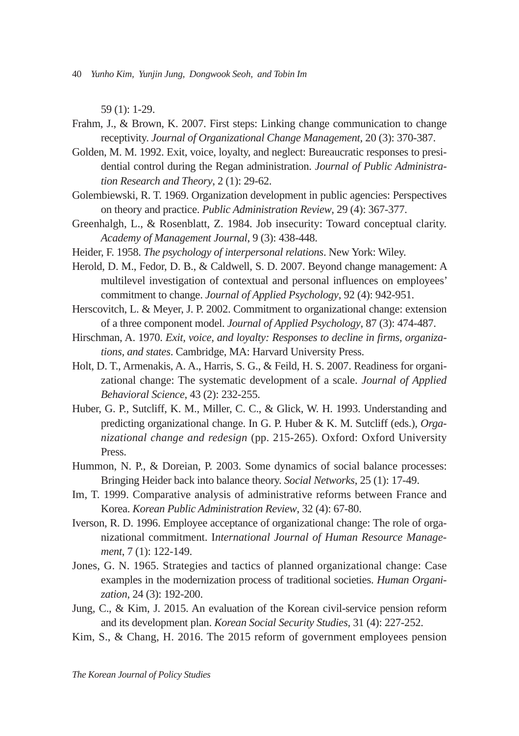59 (1): 1-29.

- Frahm, J., & Brown, K. 2007. First steps: Linking change communication to change receptivity. *Journal of Organizational Change Management,* 20 (3): 370-387.
- Golden, M. M. 1992. Exit, voice, loyalty, and neglect: Bureaucratic responses to presidential control during the Regan administration. *Journal of Public Administration Research and Theory*, 2 (1): 29-62.
- Golembiewski, R. T. 1969. Organization development in public agencies: Perspectives on theory and practice. *Public Administration Review*, 29 (4): 367-377.
- Greenhalgh, L., & Rosenblatt, Z. 1984. Job insecurity: Toward conceptual clarity. *Academy of Management Journal*, 9 (3): 438-448.
- Heider, F. 1958. *The psychology of interpersonal relations*. New York: Wiley.
- Herold, D. M., Fedor, D. B., & Caldwell, S. D. 2007. Beyond change management: A multilevel investigation of contextual and personal influences on employees' commitment to change. *Journal of Applied Psychology*, 92 (4): 942-951.
- Herscovitch, L. & Meyer, J. P. 2002. Commitment to organizational change: extension of a three component model. *Journal of Applied Psychology*, 87 (3): 474-487.
- Hirschman, A. 1970. *Exit, voice, and loyalty: Responses to decline in firms, organizations, and states*. Cambridge, MA: Harvard University Press.
- Holt, D. T., Armenakis, A. A., Harris, S. G., & Feild, H. S. 2007. Readiness for organizational change: The systematic development of a scale. *Journal of Applied Behavioral Science*, 43 (2): 232-255.
- Huber, G. P., Sutcliff, K. M., Miller, C. C., & Glick, W. H. 1993. Understanding and predicting organizational change. In G. P. Huber & K. M. Sutcliff (eds.), *Organizational change and redesign* (pp. 215-265). Oxford: Oxford University Press.
- Hummon, N. P., & Doreian, P. 2003. Some dynamics of social balance processes: Bringing Heider back into balance theory. *Social Networks*, 25 (1): 17-49.
- Im, T. 1999. Comparative analysis of administrative reforms between France and Korea. *Korean Public Administration Review*, 32 (4): 67-80.
- Iverson, R. D. 1996. Employee acceptance of organizational change: The role of organizational commitment. I*nternational Journal of Human Resource Management*, 7 (1): 122-149.
- Jones, G. N. 1965. Strategies and tactics of planned organizational change: Case examples in the modernization process of traditional societies. *Human Organization*, 24 (3): 192-200.
- Jung, C., & Kim, J. 2015. An evaluation of the Korean civil-service pension reform and its development plan. *Korean Social Security Studies*, 31 (4): 227-252.
- Kim, S., & Chang, H. 2016. The 2015 reform of government employees pension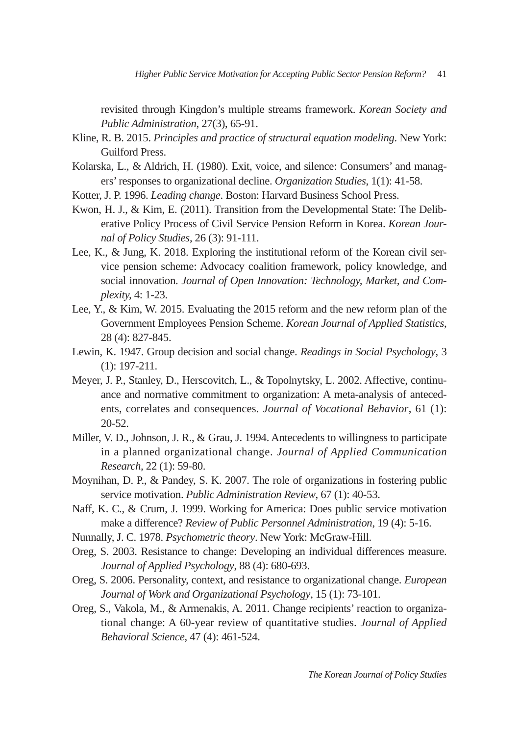revisited through Kingdon's multiple streams framework. *Korean Society and Public Administration*, 27(3), 65-91.

- Kline, R. B. 2015. *Principles and practice of structural equation modeling*. New York: Guilford Press.
- Kolarska, L., & Aldrich, H. (1980). Exit, voice, and silence: Consumers' and managers' responses to organizational decline. *Organization Studies*, 1(1): 41-58.
- Kotter, J. P. 1996. *Leading change*. Boston: Harvard Business School Press.
- Kwon, H. J., & Kim, E. (2011). Transition from the Developmental State: The Deliberative Policy Process of Civil Service Pension Reform in Korea. *Korean Journal of Policy Studies*, 26 (3): 91-111.
- Lee, K., & Jung, K. 2018. Exploring the institutional reform of the Korean civil service pension scheme: Advocacy coalition framework, policy knowledge, and social innovation. *Journal of Open Innovation: Technology, Market, and Complexity,* 4: 1-23.
- Lee, Y., & Kim, W. 2015. Evaluating the 2015 reform and the new reform plan of the Government Employees Pension Scheme. *Korean Journal of Applied Statistics*, 28 (4): 827-845.
- Lewin, K. 1947. Group decision and social change. *Readings in Social Psychology*, 3 (1): 197-211.
- Meyer, J. P., Stanley, D., Herscovitch, L., & Topolnytsky, L. 2002. Affective, continuance and normative commitment to organization: A meta-analysis of antecedents, correlates and consequences. *Journal of Vocational Behavior*, 61 (1): 20-52.
- Miller, V. D., Johnson, J. R., & Grau, J. 1994. Antecedents to willingness to participate in a planned organizational change. *Journal of Applied Communication Research,* 22 (1): 59-80.
- Moynihan, D. P., & Pandey, S. K. 2007. The role of organizations in fostering public service motivation. *Public Administration Review*, 67 (1): 40-53.
- Naff, K. C., & Crum, J. 1999. Working for America: Does public service motivation make a difference? *Review of Public Personnel Administration*, 19 (4): 5-16.
- Nunnally, J. C. 1978. *Psychometric theory*. New York: McGraw-Hill.
- Oreg, S. 2003. Resistance to change: Developing an individual differences measure. *Journal of Applied Psychology*, 88 (4): 680-693.
- Oreg, S. 2006. Personality, context, and resistance to organizational change. *European Journal of Work and Organizational Psychology*, 15 (1): 73-101.
- Oreg, S., Vakola, M., & Armenakis, A. 2011. Change recipients' reaction to organizational change: A 60-year review of quantitative studies. *Journal of Applied Behavioral Science*, 47 (4): 461-524.